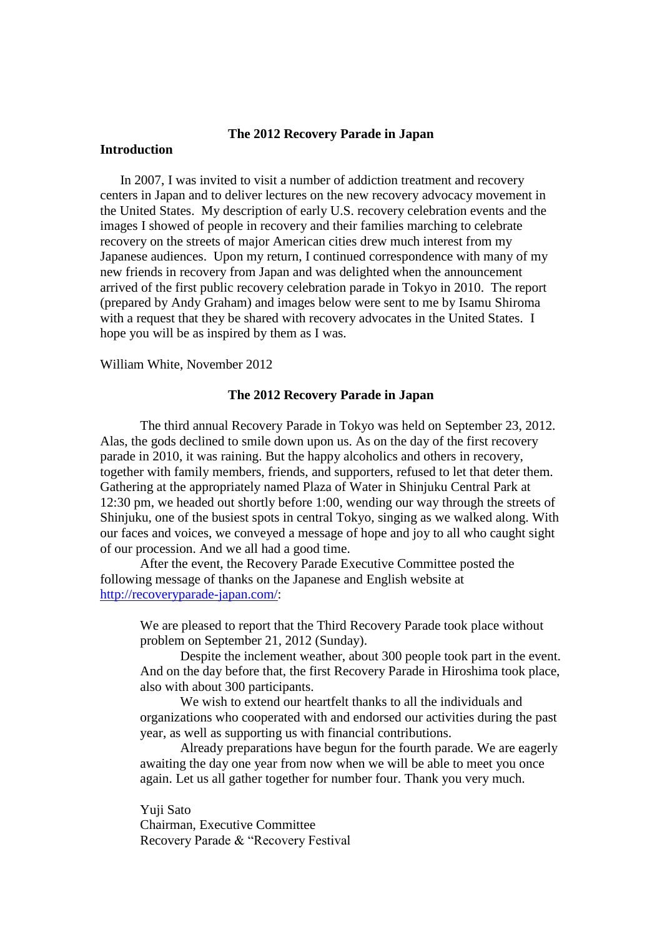## **The 2012 Recovery Parade in Japan**

## **Introduction**

 In 2007, I was invited to visit a number of addiction treatment and recovery centers in Japan and to deliver lectures on the new recovery advocacy movement in the United States. My description of early U.S. recovery celebration events and the images I showed of people in recovery and their families marching to celebrate recovery on the streets of major American cities drew much interest from my Japanese audiences. Upon my return, I continued correspondence with many of my new friends in recovery from Japan and was delighted when the announcement arrived of the first public recovery celebration parade in Tokyo in 2010. The report (prepared by Andy Graham) and images below were sent to me by Isamu Shiroma with a request that they be shared with recovery advocates in the United States. I hope you will be as inspired by them as I was.

William White, November 2012

## **The 2012 Recovery Parade in Japan**

The third annual Recovery Parade in Tokyo was held on September 23, 2012. Alas, the gods declined to smile down upon us. As on the day of the first recovery parade in 2010, it was raining. But the happy alcoholics and others in recovery, together with family members, friends, and supporters, refused to let that deter them. Gathering at the appropriately named Plaza of Water in Shinjuku Central Park at 12:30 pm, we headed out shortly before 1:00, wending our way through the streets of Shinjuku, one of the busiest spots in central Tokyo, singing as we walked along. With our faces and voices, we conveyed a message of hope and joy to all who caught sight of our procession. And we all had a good time.

After the event, the Recovery Parade Executive Committee posted the following message of thanks on the Japanese and English website at [http://recoveryparade-japan.com/:](http://recoveryparade-japan.com/)

We are pleased to report that the Third Recovery Parade took place without problem on September 21, 2012 (Sunday).

Despite the inclement weather, about 300 people took part in the event. And on the day before that, the first Recovery Parade in Hiroshima took place, also with about 300 participants.

We wish to extend our heartfelt thanks to all the individuals and organizations who cooperated with and endorsed our activities during the past year, as well as supporting us with financial contributions.

Already preparations have begun for the fourth parade. We are eagerly awaiting the day one year from now when we will be able to meet you once again. Let us all gather together for number four. Thank you very much.

Yuji Sato Chairman, Executive Committee Recovery Parade & "Recovery Festival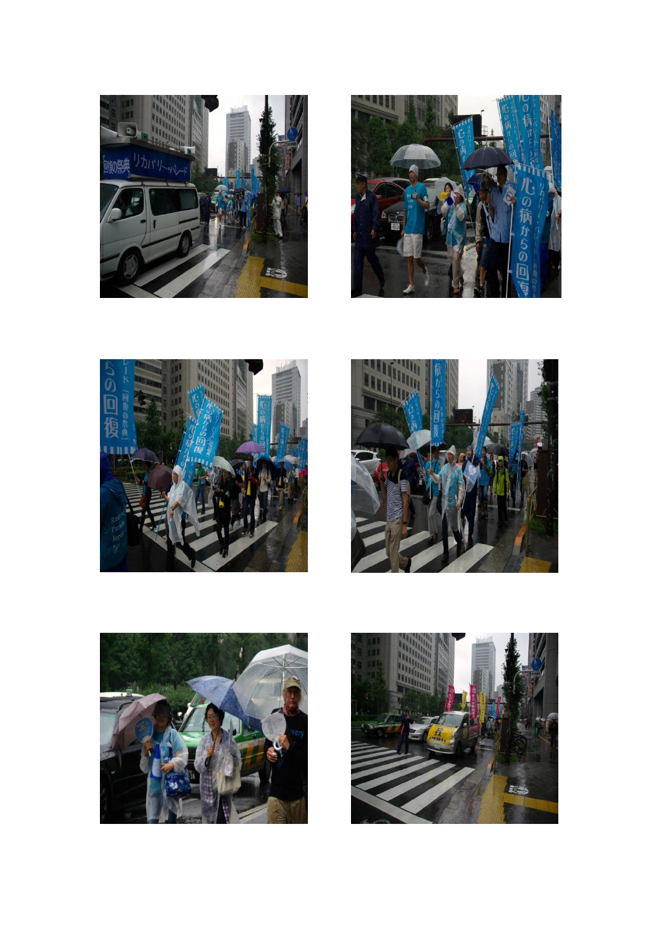